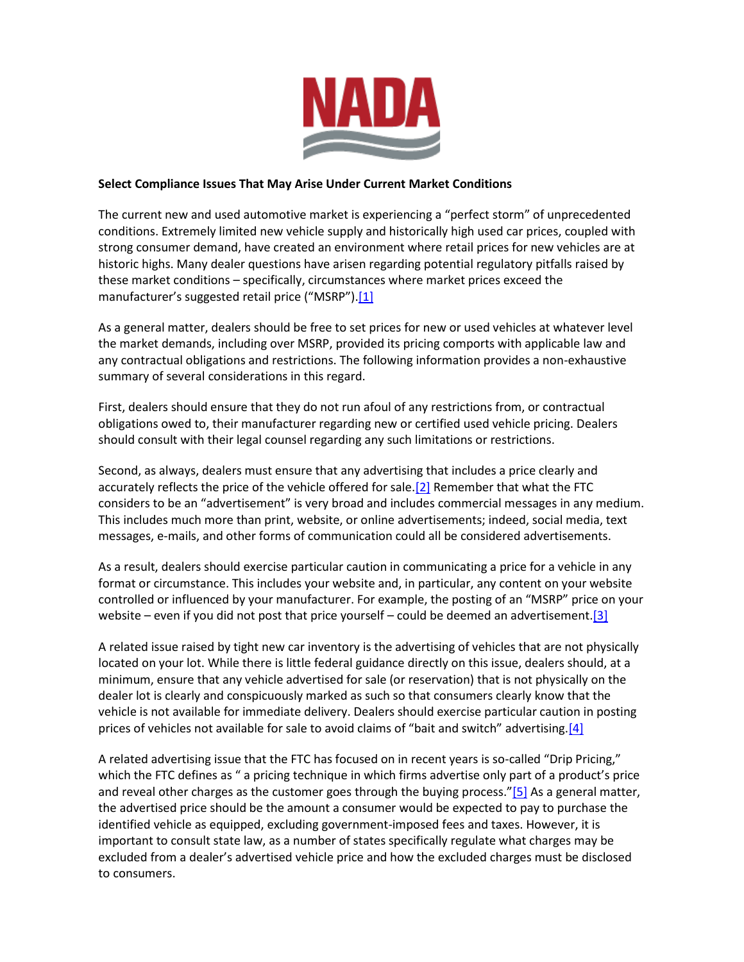<span id="page-0-0"></span>

## **Select Compliance Issues That May Arise Under Current Market Conditions**

The current new and used automotive market is experiencing a "perfect storm" of unprecedented conditions. Extremely limited new vehicle supply and historically high used car prices, coupled with strong consumer demand, have created an environment where retail prices for new vehicles are at historic highs. Many dealer questions have arisen regarding potential regulatory pitfalls raised by these market conditions – specifically, circumstances where market prices exceed the manufacturer's suggested retail price ("MSRP").<sup>[\[1\]](#page-1-0)</sup>

As a general matter, dealers should be free to set prices for new or used vehicles at whatever level the market demands, including over MSRP, provided its pricing comports with applicable law and any contractual obligations and restrictions. The following information provides a non-exhaustive summary of several considerations in this regard.

First, dealers should ensure that they do not run afoul of any restrictions from, or contractual obligations owed to, their manufacturer regarding new or certified used vehicle pricing. Dealers should consult with their legal counsel regarding any such limitations or restrictions.

<span id="page-0-1"></span>Second, as always, dealers must ensure that any advertising that includes a price clearly and accurately reflects the price of the vehicle offered for sale[.\[2\]](#page-1-1) Remember that what the FTC considers to be an "advertisement" is very broad and includes commercial messages in any medium. This includes much more than print, website, or online advertisements; indeed, social media, text messages, e-mails, and other forms of communication could all be considered advertisements.

As a result, dealers should exercise particular caution in communicating a price for a vehicle in any format or circumstance. This includes your website and, in particular, any content on your website controlled or influenced by your manufacturer. For example, the posting of an "MSRP" price on your website – even if you did not post that price yourself – could be deemed an advertisement[.\[3\]](#page-1-2)

<span id="page-0-2"></span>A related issue raised by tight new car inventory is the advertising of vehicles that are not physically located on your lot. While there is little federal guidance directly on this issue, dealers should, at a minimum, ensure that any vehicle advertised for sale (or reservation) that is not physically on the dealer lot is clearly and conspicuously marked as such so that consumers clearly know that the vehicle is not available for immediate delivery. Dealers should exercise particular caution in posting prices of vehicles not available for sale to avoid claims of "bait and switch" advertising.[\[4\]](#page-1-3)

<span id="page-0-4"></span><span id="page-0-3"></span>A related advertising issue that the FTC has focused on in recent years is so-called "Drip Pricing," which the FTC defines as " a pricing technique in which firms advertise only part of a product's price and reveal other charges as the customer goes through the buying process." $[5]$  As a general matter, the advertised price should be the amount a consumer would be expected to pay to purchase the identified vehicle as equipped, excluding government-imposed fees and taxes. However, it is important to consult state law, as a number of states specifically regulate what charges may be excluded from a dealer's advertised vehicle price and how the excluded charges must be disclosed to consumers.